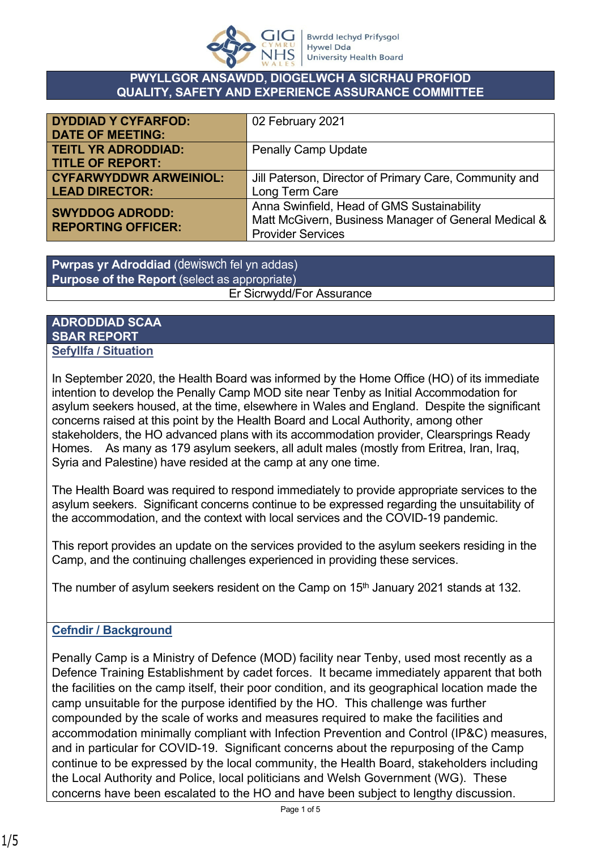

#### **PWYLLGOR ANSAWDD, DIOGELWCH A SICRHAU PROFIOD QUALITY, SAFETY AND EXPERIENCE ASSURANCE COMMITTEE**

| <b>DYDDIAD Y CYFARFOD:</b><br><b>DATE OF MEETING:</b> | 02 February 2021                                       |
|-------------------------------------------------------|--------------------------------------------------------|
| <b>TEITL YR ADRODDIAD:</b>                            | <b>Penally Camp Update</b>                             |
| <b>TITLE OF REPORT:</b>                               |                                                        |
| <b>CYFARWYDDWR ARWEINIOL:</b>                         | Jill Paterson, Director of Primary Care, Community and |
| <b>LEAD DIRECTOR:</b>                                 | Long Term Care                                         |
| <b>SWYDDOG ADRODD:</b><br><b>REPORTING OFFICER:</b>   | Anna Swinfield, Head of GMS Sustainability             |
|                                                       | Matt McGivern, Business Manager of General Medical &   |
|                                                       | <b>Provider Services</b>                               |

**Pwrpas yr Adroddiad** (dewiswch fel yn addas) **Purpose of the Report** (select as appropriate) Er Sicrwydd/For Assurance

#### **ADRODDIAD SCAA SBAR REPORT Sefyllfa / Situation**

In September 2020, the Health Board was informed by the Home Office (HO) of its immediate intention to develop the Penally Camp MOD site near Tenby as Initial Accommodation for asylum seekers housed, at the time, elsewhere in Wales and England. Despite the significant concerns raised at this point by the Health Board and Local Authority, among other stakeholders, the HO advanced plans with its accommodation provider, Clearsprings Ready Homes. As many as 179 asylum seekers, all adult males (mostly from Eritrea, Iran, Iraq, Syria and Palestine) have resided at the camp at any one time.

The Health Board was required to respond immediately to provide appropriate services to the asylum seekers. Significant concerns continue to be expressed regarding the unsuitability of the accommodation, and the context with local services and the COVID-19 pandemic.

This report provides an update on the services provided to the asylum seekers residing in the Camp, and the continuing challenges experienced in providing these services.

The number of asylum seekers resident on the Camp on  $15<sup>th</sup>$  January 2021 stands at 132.

# **Cefndir / Background**

Penally Camp is a Ministry of Defence (MOD) facility near Tenby, used most recently as a Defence Training Establishment by cadet forces. It became immediately apparent that both the facilities on the camp itself, their poor condition, and its geographical location made the camp unsuitable for the purpose identified by the HO. This challenge was further compounded by the scale of works and measures required to make the facilities and accommodation minimally compliant with Infection Prevention and Control (IP&C) measures, and in particular for COVID-19. Significant concerns about the repurposing of the Camp continue to be expressed by the local community, the Health Board, stakeholders including the Local Authority and Police, local politicians and Welsh Government (WG). These concerns have been escalated to the HO and have been subject to lengthy discussion.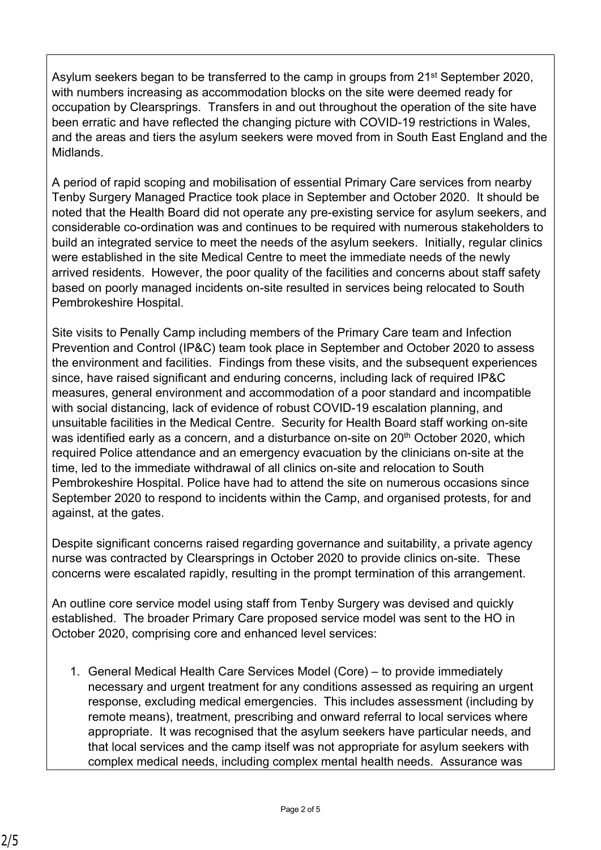Asylum seekers began to be transferred to the camp in groups from 21<sup>st</sup> September 2020, with numbers increasing as accommodation blocks on the site were deemed ready for occupation by Clearsprings. Transfers in and out throughout the operation of the site have been erratic and have reflected the changing picture with COVID-19 restrictions in Wales, and the areas and tiers the asylum seekers were moved from in South East England and the Midlands.

A period of rapid scoping and mobilisation of essential Primary Care services from nearby Tenby Surgery Managed Practice took place in September and October 2020. It should be noted that the Health Board did not operate any pre-existing service for asylum seekers, and considerable co-ordination was and continues to be required with numerous stakeholders to build an integrated service to meet the needs of the asylum seekers. Initially, regular clinics were established in the site Medical Centre to meet the immediate needs of the newly arrived residents. However, the poor quality of the facilities and concerns about staff safety based on poorly managed incidents on-site resulted in services being relocated to South Pembrokeshire Hospital.

Site visits to Penally Camp including members of the Primary Care team and Infection Prevention and Control (IP&C) team took place in September and October 2020 to assess the environment and facilities. Findings from these visits, and the subsequent experiences since, have raised significant and enduring concerns, including lack of required IP&C measures, general environment and accommodation of a poor standard and incompatible with social distancing, lack of evidence of robust COVID-19 escalation planning, and unsuitable facilities in the Medical Centre. Security for Health Board staff working on-site was identified early as a concern, and a disturbance on-site on 20<sup>th</sup> October 2020, which required Police attendance and an emergency evacuation by the clinicians on-site at the time, led to the immediate withdrawal of all clinics on-site and relocation to South Pembrokeshire Hospital. Police have had to attend the site on numerous occasions since September 2020 to respond to incidents within the Camp, and organised protests, for and against, at the gates.

Despite significant concerns raised regarding governance and suitability, a private agency nurse was contracted by Clearsprings in October 2020 to provide clinics on-site. These concerns were escalated rapidly, resulting in the prompt termination of this arrangement.

An outline core service model using staff from Tenby Surgery was devised and quickly established. The broader Primary Care proposed service model was sent to the HO in October 2020, comprising core and enhanced level services:

1. General Medical Health Care Services Model (Core) – to provide immediately necessary and urgent treatment for any conditions assessed as requiring an urgent response, excluding medical emergencies. This includes assessment (including by remote means), treatment, prescribing and onward referral to local services where appropriate. It was recognised that the asylum seekers have particular needs, and that local services and the camp itself was not appropriate for asylum seekers with complex medical needs, including complex mental health needs. Assurance was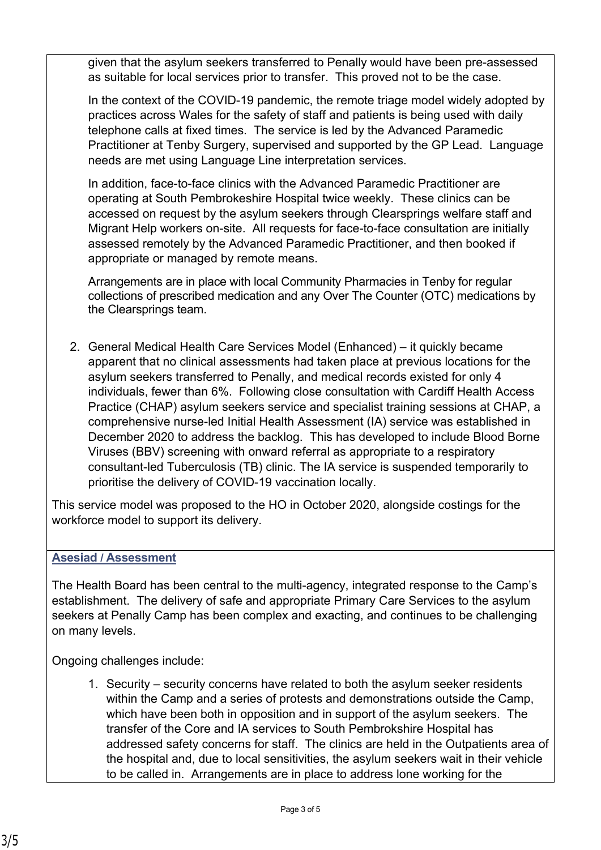given that the asylum seekers transferred to Penally would have been pre-assessed as suitable for local services prior to transfer. This proved not to be the case.

In the context of the COVID-19 pandemic, the remote triage model widely adopted by practices across Wales for the safety of staff and patients is being used with daily telephone calls at fixed times. The service is led by the Advanced Paramedic Practitioner at Tenby Surgery, supervised and supported by the GP Lead. Language needs are met using Language Line interpretation services.

In addition, face-to-face clinics with the Advanced Paramedic Practitioner are operating at South Pembrokeshire Hospital twice weekly. These clinics can be accessed on request by the asylum seekers through Clearsprings welfare staff and Migrant Help workers on-site. All requests for face-to-face consultation are initially assessed remotely by the Advanced Paramedic Practitioner, and then booked if appropriate or managed by remote means.

Arrangements are in place with local Community Pharmacies in Tenby for regular collections of prescribed medication and any Over The Counter (OTC) medications by the Clearsprings team.

2. General Medical Health Care Services Model (Enhanced) – it quickly became apparent that no clinical assessments had taken place at previous locations for the asylum seekers transferred to Penally, and medical records existed for only 4 individuals, fewer than 6%. Following close consultation with Cardiff Health Access Practice (CHAP) asylum seekers service and specialist training sessions at CHAP, a comprehensive nurse-led Initial Health Assessment (IA) service was established in December 2020 to address the backlog. This has developed to include Blood Borne Viruses (BBV) screening with onward referral as appropriate to a respiratory consultant-led Tuberculosis (TB) clinic. The IA service is suspended temporarily to prioritise the delivery of COVID-19 vaccination locally.

This service model was proposed to the HO in October 2020, alongside costings for the workforce model to support its delivery.

# **Asesiad / Assessment**

The Health Board has been central to the multi-agency, integrated response to the Camp's establishment. The delivery of safe and appropriate Primary Care Services to the asylum seekers at Penally Camp has been complex and exacting, and continues to be challenging on many levels.

Ongoing challenges include:

1. Security – security concerns have related to both the asylum seeker residents within the Camp and a series of protests and demonstrations outside the Camp, which have been both in opposition and in support of the asylum seekers. The transfer of the Core and IA services to South Pembrokshire Hospital has addressed safety concerns for staff. The clinics are held in the Outpatients area of the hospital and, due to local sensitivities, the asylum seekers wait in their vehicle to be called in. Arrangements are in place to address lone working for the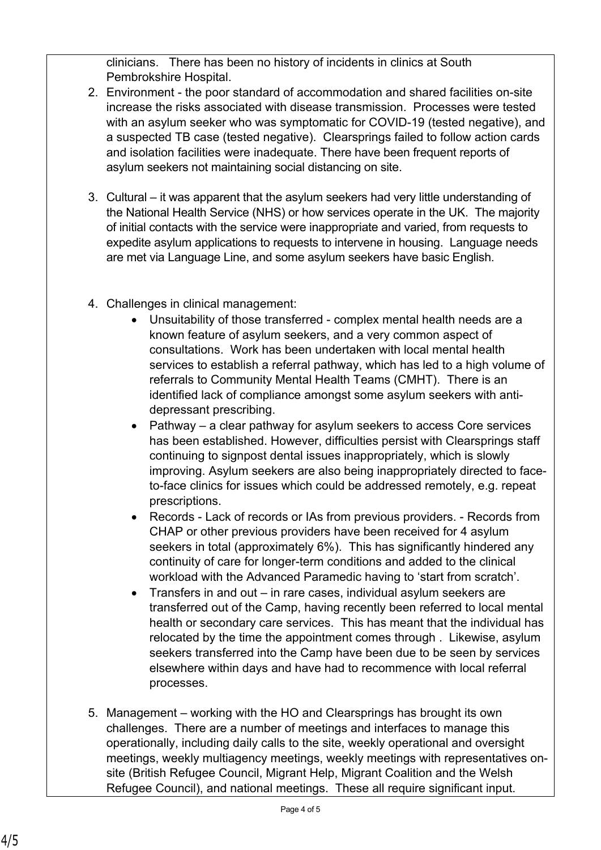clinicians. There has been no history of incidents in clinics at South Pembrokshire Hospital.

- 2. Environment the poor standard of accommodation and shared facilities on-site increase the risks associated with disease transmission. Processes were tested with an asylum seeker who was symptomatic for COVID-19 (tested negative), and a suspected TB case (tested negative). Clearsprings failed to follow action cards and isolation facilities were inadequate. There have been frequent reports of asylum seekers not maintaining social distancing on site.
- 3. Cultural it was apparent that the asylum seekers had very little understanding of the National Health Service (NHS) or how services operate in the UK. The majority of initial contacts with the service were inappropriate and varied, from requests to expedite asylum applications to requests to intervene in housing. Language needs are met via Language Line, and some asylum seekers have basic English.
- 4. Challenges in clinical management:
	- Unsuitability of those transferred complex mental health needs are a known feature of asylum seekers, and a very common aspect of consultations. Work has been undertaken with local mental health services to establish a referral pathway, which has led to a high volume of referrals to Community Mental Health Teams (CMHT). There is an identified lack of compliance amongst some asylum seekers with antidepressant prescribing.
	- Pathway a clear pathway for asylum seekers to access Core services has been established. However, difficulties persist with Clearsprings staff continuing to signpost dental issues inappropriately, which is slowly improving. Asylum seekers are also being inappropriately directed to faceto-face clinics for issues which could be addressed remotely, e.g. repeat prescriptions.
	- Records Lack of records or IAs from previous providers. Records from CHAP or other previous providers have been received for 4 asylum seekers in total (approximately 6%). This has significantly hindered any continuity of care for longer-term conditions and added to the clinical workload with the Advanced Paramedic having to 'start from scratch'.
	- Transfers in and out in rare cases, individual asylum seekers are transferred out of the Camp, having recently been referred to local mental health or secondary care services. This has meant that the individual has relocated by the time the appointment comes through . Likewise, asylum seekers transferred into the Camp have been due to be seen by services elsewhere within days and have had to recommence with local referral processes.
- 5. Management working with the HO and Clearsprings has brought its own challenges. There are a number of meetings and interfaces to manage this operationally, including daily calls to the site, weekly operational and oversight meetings, weekly multiagency meetings, weekly meetings with representatives onsite (British Refugee Council, Migrant Help, Migrant Coalition and the Welsh Refugee Council), and national meetings. These all require significant input.